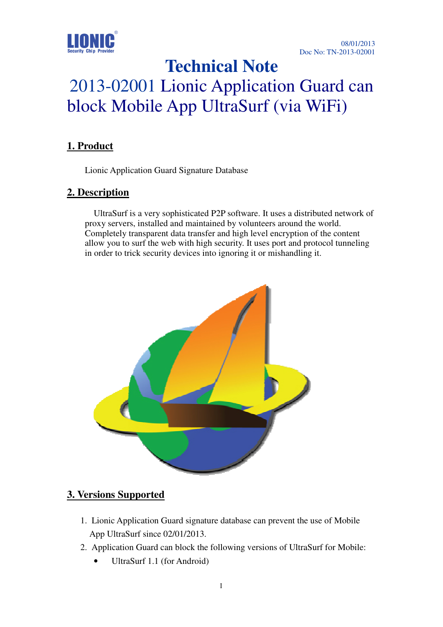

## **Technical Note**

# 2013-02001 Lionic Application Guard can block Mobile App UltraSurf (via WiFi)

#### **1. Product**

Lionic Application Guard Signature Database

#### **2. Description**

 UltraSurf is a very sophisticated P2P software. It uses a distributed network of proxy servers, installed and maintained by volunteers around the world. Completely transparent data transfer and high level encryption of the content allow you to surf the web with high security. It uses port and protocol tunneling in order to trick security devices into ignoring it or mishandling it.



#### **3. Versions Supported**

- 1. Lionic Application Guard signature database can prevent the use of Mobile App UltraSurf since 02/01/2013.
- 2. Application Guard can block the following versions of UltraSurf for Mobile:
	- UltraSurf 1.1 (for Android)